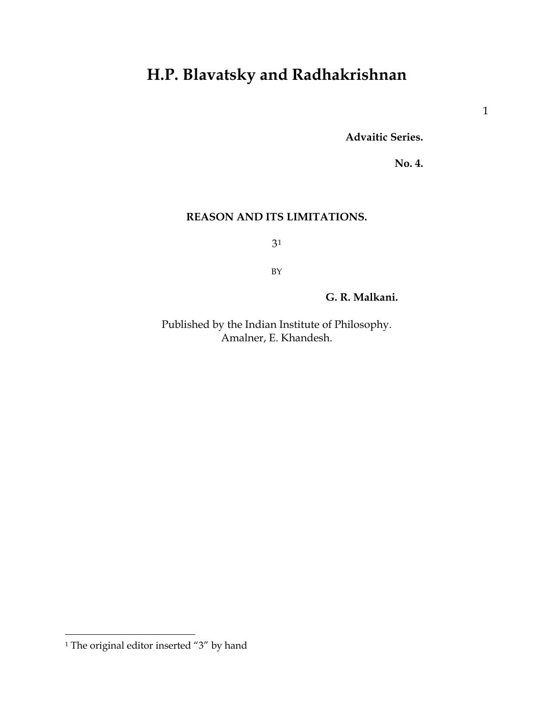# **H.P. Blavatsky and Radhakrishnan**

**Advaitic Series.**

**No. 4.**

# **REASON AND ITS LIMITATIONS.**

3[1](#page-0-0)

BY

**G. R. Malkani.**

Published by the Indian Institute of Philosophy. Amalner, E. Khandesh.

<span id="page-0-0"></span><sup>&</sup>lt;sup>1</sup> The original editor inserted "3" by hand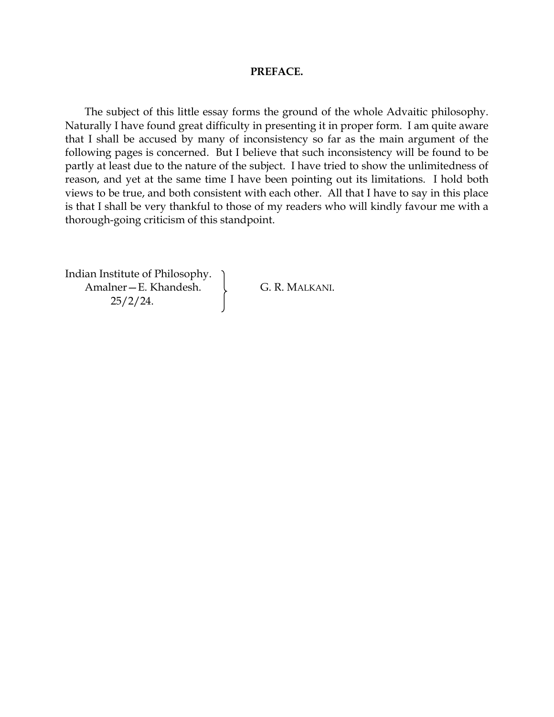# **PREFACE.**

The subject of this little essay forms the ground of the whole Advaitic philosophy. Naturally I have found great difficulty in presenting it in proper form. I am quite aware that I shall be accused by many of inconsistency so far as the main argument of the following pages is concerned. But I believe that such inconsistency will be found to be partly at least due to the nature of the subject. I have tried to show the unlimitedness of reason, and yet at the same time I have been pointing out its limitations. I hold both views to be true, and both consistent with each other. All that I have to say in this place is that I shall be very thankful to those of my readers who will kindly favour me with a thorough-going criticism of this standpoint.

Indian Institute of Philosophy. Amalner – E. Khandesh.  $\downarrow$  G. R. MALKANI. 25/2/24.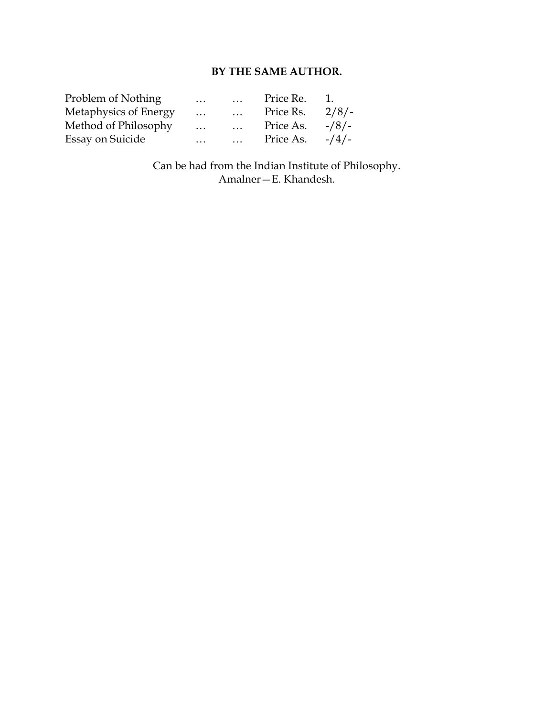# **BY THE SAME AUTHOR.**

| Problem of Nothing    | $\cdots$ | $\cdots$              | Price Re. | Ί.      |
|-----------------------|----------|-----------------------|-----------|---------|
| Metaphysics of Energy | $\cdots$ | $\cdot \cdot$ $\cdot$ | Price Rs. | 2/8/    |
| Method of Philosophy  | $\cdots$ | $\cdot \cdot \cdot$   | Price As. | $-18/$  |
| Essay on Suicide      | $\cdots$ | $\cdot \cdot$ $\cdot$ | Price As. | $-1/4/$ |

Can be had from the Indian Institute of Philosophy. Amalner—E. Khandesh.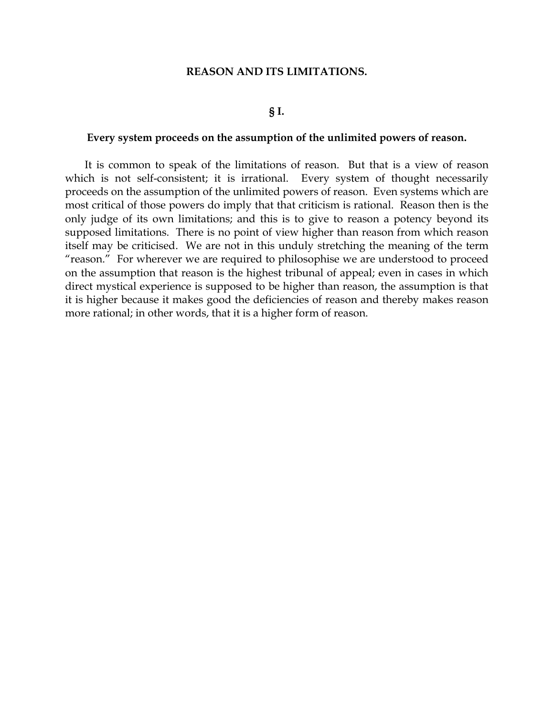### **REASON AND ITS LIMITATIONS.**

# **§ I.**

#### **Every system proceeds on the assumption of the unlimited powers of reason.**

It is common to speak of the limitations of reason. But that is a view of reason which is not self-consistent; it is irrational. Every system of thought necessarily proceeds on the assumption of the unlimited powers of reason. Even systems which are most critical of those powers do imply that that criticism is rational. Reason then is the only judge of its own limitations; and this is to give to reason a potency beyond its supposed limitations. There is no point of view higher than reason from which reason itself may be criticised. We are not in this unduly stretching the meaning of the term "reason." For wherever we are required to philosophise we are understood to proceed on the assumption that reason is the highest tribunal of appeal; even in cases in which direct mystical experience is supposed to be higher than reason, the assumption is that it is higher because it makes good the deficiencies of reason and thereby makes reason more rational; in other words, that it is a higher form of reason.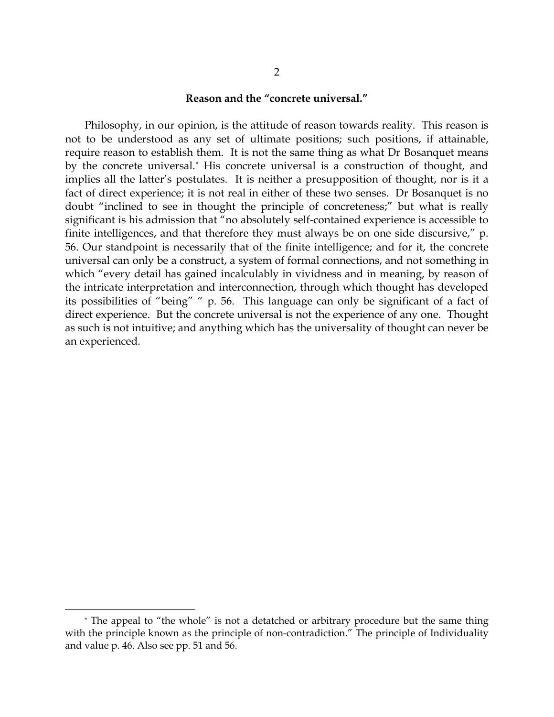#### **Reason and the "concrete universal."**

Philosophy, in our opinion, is the attitude of reason towards reality. This reason is not to be understood as any set of ultimate positions; such positions, if attainable, require reason to establish them. It is not the same thing as what Dr Bosanquet means by the concrete universal.[\\*](#page-4-0) His concrete universal is a construction of thought, and implies all the latter's postulates. It is neither a presupposition of thought, nor is it a fact of direct experience; it is not real in either of these two senses. Dr Bosanquet is no doubt "inclined to see in thought the principle of concreteness;" but what is really significant is his admission that "no absolutely self-contained experience is accessible to finite intelligences, and that therefore they must always be on one side discursive," p. 56. Our standpoint is necessarily that of the finite intelligence; and for it, the concrete universal can only be a construct, a system of formal connections, and not something in which "every detail has gained incalculably in vividness and in meaning, by reason of the intricate interpretation and interconnection, through which thought has developed its possibilities of "being" " p. 56. This language can only be significant of a fact of direct experience. But the concrete universal is not the experience of any one. Thought as such is not intuitive; and anything which has the universality of thought can never be an experienced.

<span id="page-4-0"></span><sup>\*</sup> The appeal to "the whole" is not a detatched or arbitrary procedure but the same thing with the principle known as the principle of non-contradiction." The principle of Individuality and value p. 46. Also see pp. 51 and 56.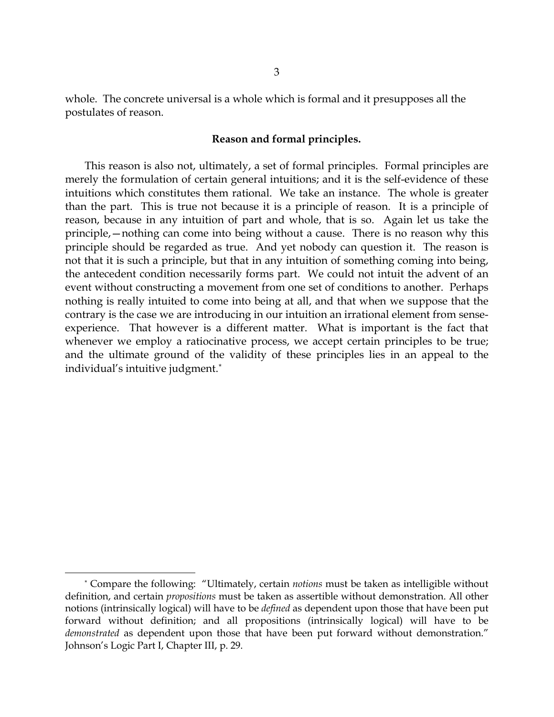whole. The concrete universal is a whole which is formal and it presupposes all the postulates of reason.

# **Reason and formal principles.**

This reason is also not, ultimately, a set of formal principles. Formal principles are merely the formulation of certain general intuitions; and it is the self-evidence of these intuitions which constitutes them rational. We take an instance. The whole is greater than the part. This is true not because it is a principle of reason. It is a principle of reason, because in any intuition of part and whole, that is so. Again let us take the principle,—nothing can come into being without a cause. There is no reason why this principle should be regarded as true. And yet nobody can question it. The reason is not that it is such a principle, but that in any intuition of something coming into being, the antecedent condition necessarily forms part. We could not intuit the advent of an event without constructing a movement from one set of conditions to another. Perhaps nothing is really intuited to come into being at all, and that when we suppose that the contrary is the case we are introducing in our intuition an irrational element from senseexperience. That however is a different matter. What is important is the fact that whenever we employ a ratiocinative process, we accept certain principles to be true; and the ultimate ground of the validity of these principles lies in an appeal to the individual's intuitive judgment.[\\*](#page-5-0)

<span id="page-5-0"></span><sup>\*</sup> Compare the following: "Ultimately, certain *notions* must be taken as intelligible without definition, and certain *propositions* must be taken as assertible without demonstration. All other notions (intrinsically logical) will have to be *defined* as dependent upon those that have been put forward without definition; and all propositions (intrinsically logical) will have to be *demonstrated* as dependent upon those that have been put forward without demonstration." Johnson's Logic Part I, Chapter III, p. 29.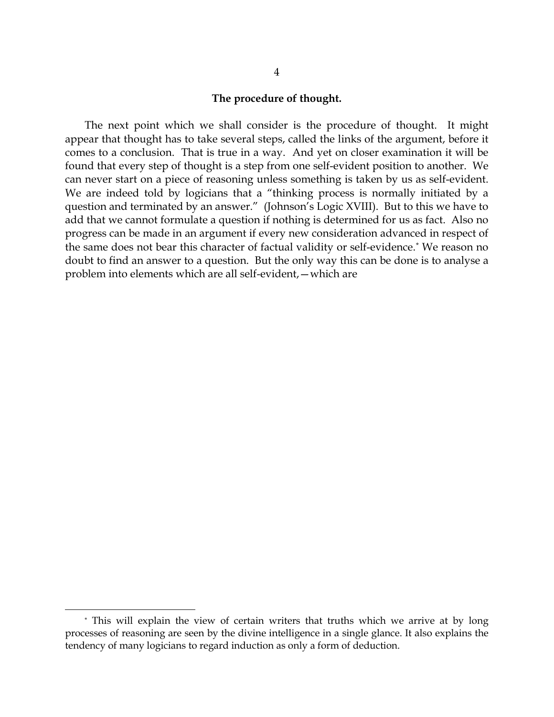#### **The procedure of thought.**

The next point which we shall consider is the procedure of thought. It might appear that thought has to take several steps, called the links of the argument, before it comes to a conclusion. That is true in a way. And yet on closer examination it will be found that every step of thought is a step from one self-evident position to another. We can never start on a piece of reasoning unless something is taken by us as self-evident. We are indeed told by logicians that a "thinking process is normally initiated by a question and terminated by an answer." (Johnson's Logic XVIII). But to this we have to add that we cannot formulate a question if nothing is determined for us as fact. Also no progress can be made in an argument if every new consideration advanced in respect of the same does not bear this character of factual validity or self-evidence.[\\*](#page-6-0) We reason no doubt to find an answer to a question. But the only way this can be done is to analyse a problem into elements which are all self-evident,—which are

<span id="page-6-0"></span><sup>\*</sup> This will explain the view of certain writers that truths which we arrive at by long processes of reasoning are seen by the divine intelligence in a single glance. It also explains the tendency of many logicians to regard induction as only a form of deduction.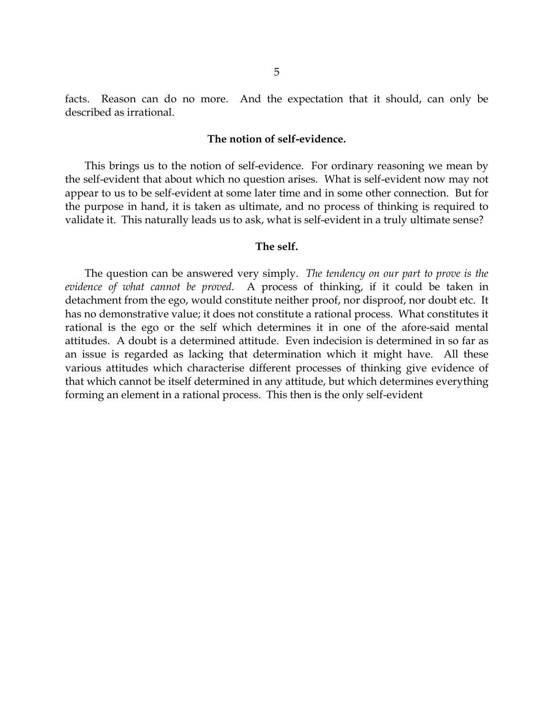facts. Reason can do no more. And the expectation that it should, can only be described as irrational.

#### **The notion of self-evidence.**

This brings us to the notion of self-evidence. For ordinary reasoning we mean by the self-evident that about which no question arises. What is self-evident now may not appear to us to be self-evident at some later time and in some other connection. But for the purpose in hand, it is taken as ultimate, and no process of thinking is required to validate it. This naturally leads us to ask, what is self-evident in a truly ultimate sense?

#### **The self.**

The question can be answered very simply. *The tendency on our part to prove is the evidence of what cannot be proved*. A process of thinking, if it could be taken in detachment from the ego, would constitute neither proof, nor disproof, nor doubt etc. It has no demonstrative value; it does not constitute a rational process. What constitutes it rational is the ego or the self which determines it in one of the afore-said mental attitudes. A doubt is a determined attitude. Even indecision is determined in so far as an issue is regarded as lacking that determination which it might have. All these various attitudes which characterise different processes of thinking give evidence of that which cannot be itself determined in any attitude, but which determines everything forming an element in a rational process. This then is the only self-evident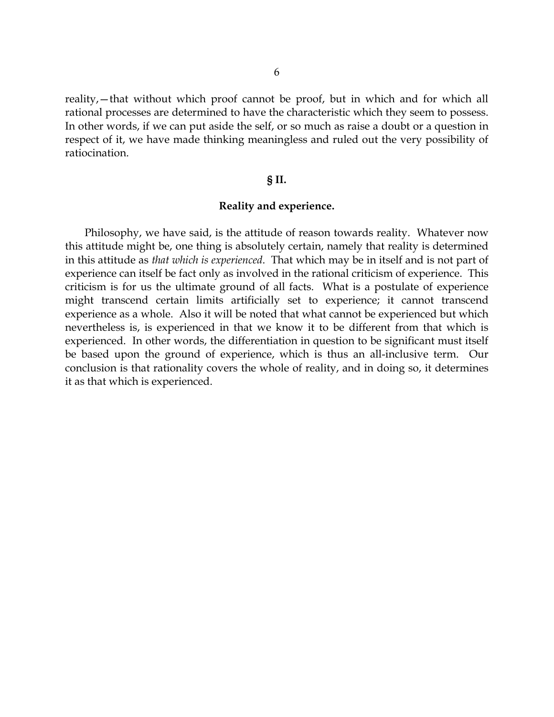reality,—that without which proof cannot be proof, but in which and for which all rational processes are determined to have the characteristic which they seem to possess. In other words, if we can put aside the self, or so much as raise a doubt or a question in respect of it, we have made thinking meaningless and ruled out the very possibility of ratiocination.

#### **§ II.**

### **Reality and experience.**

Philosophy, we have said, is the attitude of reason towards reality. Whatever now this attitude might be, one thing is absolutely certain, namely that reality is determined in this attitude as *that which is experienced*. That which may be in itself and is not part of experience can itself be fact only as involved in the rational criticism of experience. This criticism is for us the ultimate ground of all facts. What is a postulate of experience might transcend certain limits artificially set to experience; it cannot transcend experience as a whole. Also it will be noted that what cannot be experienced but which nevertheless is, is experienced in that we know it to be different from that which is experienced. In other words, the differentiation in question to be significant must itself be based upon the ground of experience, which is thus an all-inclusive term. Our conclusion is that rationality covers the whole of reality, and in doing so, it determines it as that which is experienced.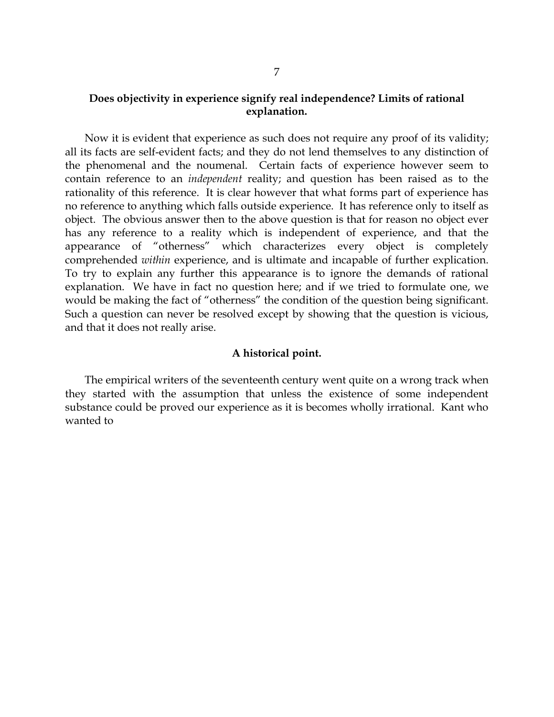# **Does objectivity in experience signify real independence? Limits of rational explanation.**

Now it is evident that experience as such does not require any proof of its validity; all its facts are self-evident facts; and they do not lend themselves to any distinction of the phenomenal and the noumenal. Certain facts of experience however seem to contain reference to an *independent* reality; and question has been raised as to the rationality of this reference. It is clear however that what forms part of experience has no reference to anything which falls outside experience. It has reference only to itself as object. The obvious answer then to the above question is that for reason no object ever has any reference to a reality which is independent of experience, and that the appearance of "otherness" which characterizes every object is completely comprehended *within* experience, and is ultimate and incapable of further explication. To try to explain any further this appearance is to ignore the demands of rational explanation. We have in fact no question here; and if we tried to formulate one, we would be making the fact of "otherness" the condition of the question being significant. Such a question can never be resolved except by showing that the question is vicious, and that it does not really arise.

#### **A historical point.**

The empirical writers of the seventeenth century went quite on a wrong track when they started with the assumption that unless the existence of some independent substance could be proved our experience as it is becomes wholly irrational. Kant who wanted to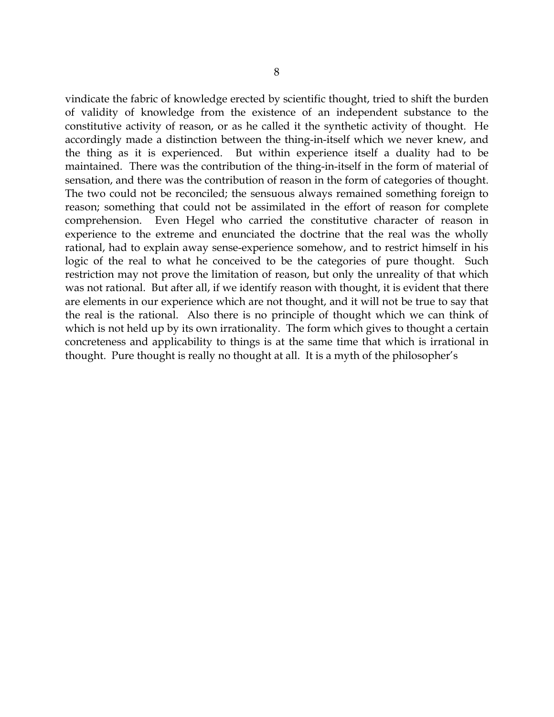vindicate the fabric of knowledge erected by scientific thought, tried to shift the burden of validity of knowledge from the existence of an independent substance to the constitutive activity of reason, or as he called it the synthetic activity of thought. He accordingly made a distinction between the thing-in-itself which we never knew, and the thing as it is experienced. But within experience itself a duality had to be maintained. There was the contribution of the thing-in-itself in the form of material of sensation, and there was the contribution of reason in the form of categories of thought. The two could not be reconciled; the sensuous always remained something foreign to reason; something that could not be assimilated in the effort of reason for complete comprehension. Even Hegel who carried the constitutive character of reason in experience to the extreme and enunciated the doctrine that the real was the wholly rational, had to explain away sense-experience somehow, and to restrict himself in his logic of the real to what he conceived to be the categories of pure thought. Such restriction may not prove the limitation of reason, but only the unreality of that which was not rational. But after all, if we identify reason with thought, it is evident that there are elements in our experience which are not thought, and it will not be true to say that the real is the rational. Also there is no principle of thought which we can think of which is not held up by its own irrationality. The form which gives to thought a certain concreteness and applicability to things is at the same time that which is irrational in thought. Pure thought is really no thought at all. It is a myth of the philosopher's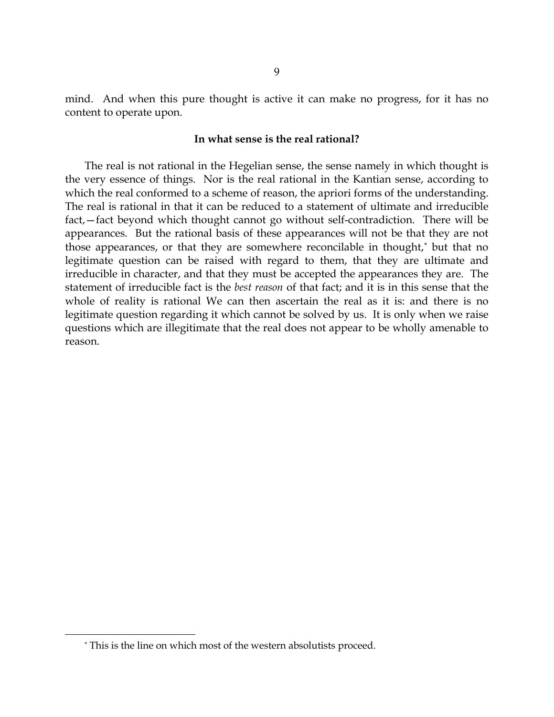mind. And when this pure thought is active it can make no progress, for it has no content to operate upon.

#### **In what sense is the real rational?**

The real is not rational in the Hegelian sense, the sense namely in which thought is the very essence of things. Nor is the real rational in the Kantian sense, according to which the real conformed to a scheme of reason, the apriori forms of the understanding. The real is rational in that it can be reduced to a statement of ultimate and irreducible fact,—fact beyond which thought cannot go without self-contradiction. There will be appearances. But the rational basis of these appearances will not be that they are not those appearances, or that they are somewhere reconcilable in thought,[\\*](#page-11-0) but that no legitimate question can be raised with regard to them, that they are ultimate and irreducible in character, and that they must be accepted the appearances they are. The statement of irreducible fact is the *best reason* of that fact; and it is in this sense that the whole of reality is rational We can then ascertain the real as it is: and there is no legitimate question regarding it which cannot be solved by us. It is only when we raise questions which are illegitimate that the real does not appear to be wholly amenable to reason.

<span id="page-11-0"></span><sup>\*</sup> This is the line on which most of the western absolutists proceed.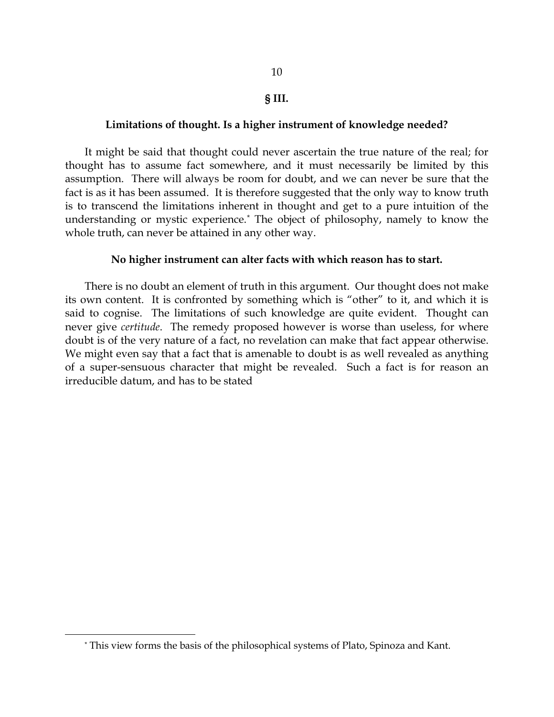10

# **Limitations of thought. Is a higher instrument of knowledge needed?**

It might be said that thought could never ascertain the true nature of the real; for thought has to assume fact somewhere, and it must necessarily be limited by this assumption. There will always be room for doubt, and we can never be sure that the fact is as it has been assumed. It is therefore suggested that the only way to know truth is to transcend the limitations inherent in thought and get to a pure intuition of the understanding or mystic experience.[\\*](#page-12-0) The object of philosophy, namely to know the whole truth, can never be attained in any other way.

# **No higher instrument can alter facts with which reason has to start.**

There is no doubt an element of truth in this argument. Our thought does not make its own content. It is confronted by something which is "other" to it, and which it is said to cognise. The limitations of such knowledge are quite evident. Thought can never give *certitude*. The remedy proposed however is worse than useless, for where doubt is of the very nature of a fact, no revelation can make that fact appear otherwise. We might even say that a fact that is amenable to doubt is as well revealed as anything of a super-sensuous character that might be revealed. Such a fact is for reason an irreducible datum, and has to be stated

<span id="page-12-0"></span><sup>\*</sup> This view forms the basis of the philosophical systems of Plato, Spinoza and Kant.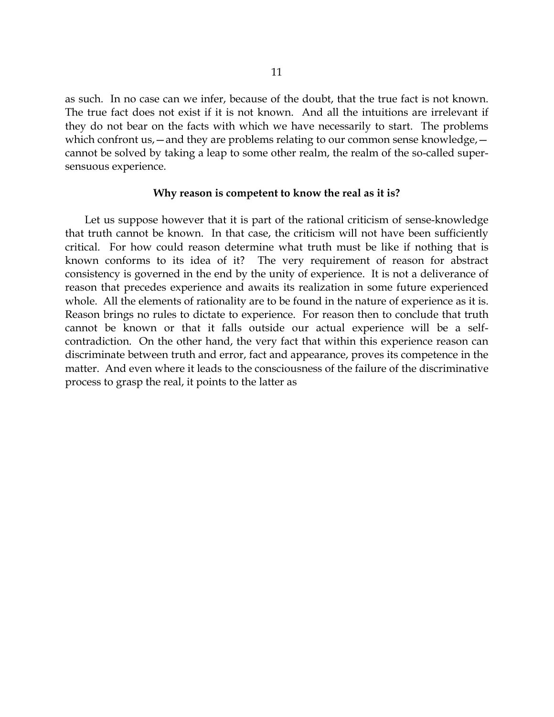as such. In no case can we infer, because of the doubt, that the true fact is not known. The true fact does not exist if it is not known. And all the intuitions are irrelevant if they do not bear on the facts with which we have necessarily to start. The problems which confront us,—and they are problems relating to our common sense knowledge, cannot be solved by taking a leap to some other realm, the realm of the so-called supersensuous experience.

#### **Why reason is competent to know the real as it is?**

Let us suppose however that it is part of the rational criticism of sense-knowledge that truth cannot be known. In that case, the criticism will not have been sufficiently critical. For how could reason determine what truth must be like if nothing that is known conforms to its idea of it? The very requirement of reason for abstract consistency is governed in the end by the unity of experience. It is not a deliverance of reason that precedes experience and awaits its realization in some future experienced whole. All the elements of rationality are to be found in the nature of experience as it is. Reason brings no rules to dictate to experience. For reason then to conclude that truth cannot be known or that it falls outside our actual experience will be a selfcontradiction. On the other hand, the very fact that within this experience reason can discriminate between truth and error, fact and appearance, proves its competence in the matter. And even where it leads to the consciousness of the failure of the discriminative process to grasp the real, it points to the latter as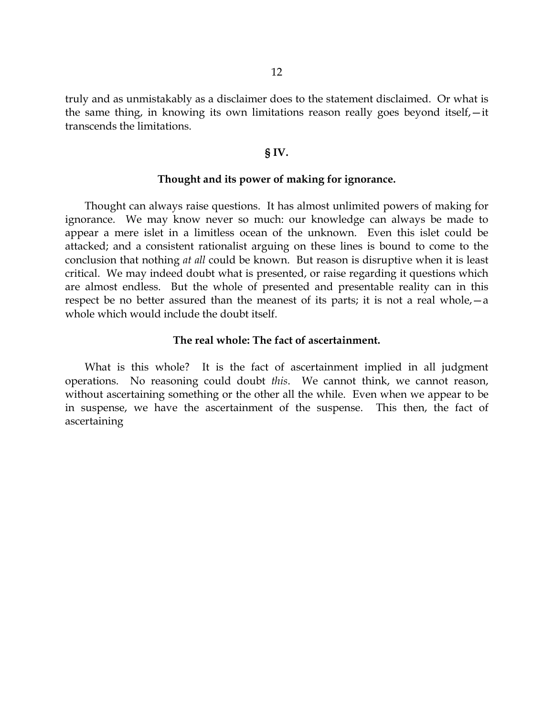truly and as unmistakably as a disclaimer does to the statement disclaimed. Or what is the same thing, in knowing its own limitations reason really goes beyond itself,—it transcends the limitations.

#### **§ IV.**

#### **Thought and its power of making for ignorance.**

Thought can always raise questions. It has almost unlimited powers of making for ignorance. We may know never so much: our knowledge can always be made to appear a mere islet in a limitless ocean of the unknown. Even this islet could be attacked; and a consistent rationalist arguing on these lines is bound to come to the conclusion that nothing *at all* could be known. But reason is disruptive when it is least critical. We may indeed doubt what is presented, or raise regarding it questions which are almost endless. But the whole of presented and presentable reality can in this respect be no better assured than the meanest of its parts; it is not a real whole,—a whole which would include the doubt itself.

# **The real whole: The fact of ascertainment.**

What is this whole? It is the fact of ascertainment implied in all judgment operations. No reasoning could doubt *this*. We cannot think, we cannot reason, without ascertaining something or the other all the while. Even when we appear to be in suspense, we have the ascertainment of the suspense. This then, the fact of ascertaining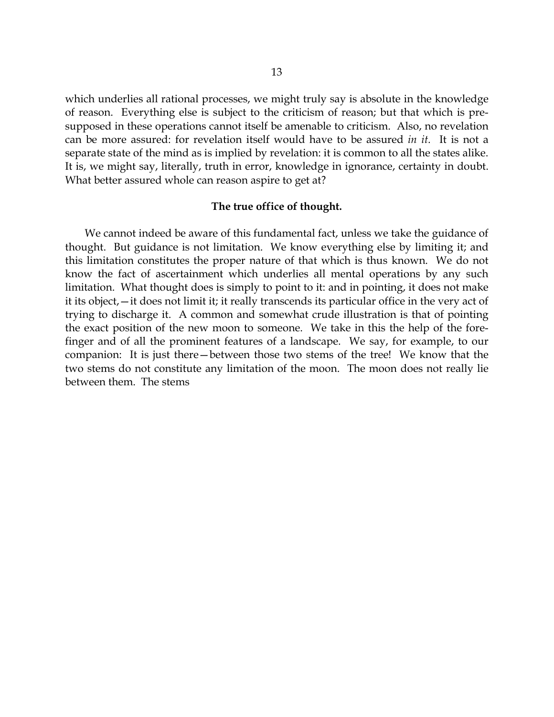which underlies all rational processes, we might truly say is absolute in the knowledge of reason. Everything else is subject to the criticism of reason; but that which is presupposed in these operations cannot itself be amenable to criticism. Also, no revelation can be more assured: for revelation itself would have to be assured *in it*. It is not a separate state of the mind as is implied by revelation: it is common to all the states alike. It is, we might say, literally, truth in error, knowledge in ignorance, certainty in doubt. What better assured whole can reason aspire to get at?

# **The true office of thought.**

We cannot indeed be aware of this fundamental fact, unless we take the guidance of thought. But guidance is not limitation. We know everything else by limiting it; and this limitation constitutes the proper nature of that which is thus known. We do not know the fact of ascertainment which underlies all mental operations by any such limitation. What thought does is simply to point to it: and in pointing, it does not make it its object,—it does not limit it; it really transcends its particular office in the very act of trying to discharge it. A common and somewhat crude illustration is that of pointing the exact position of the new moon to someone. We take in this the help of the forefinger and of all the prominent features of a landscape. We say, for example, to our companion: It is just there—between those two stems of the tree! We know that the two stems do not constitute any limitation of the moon. The moon does not really lie between them. The stems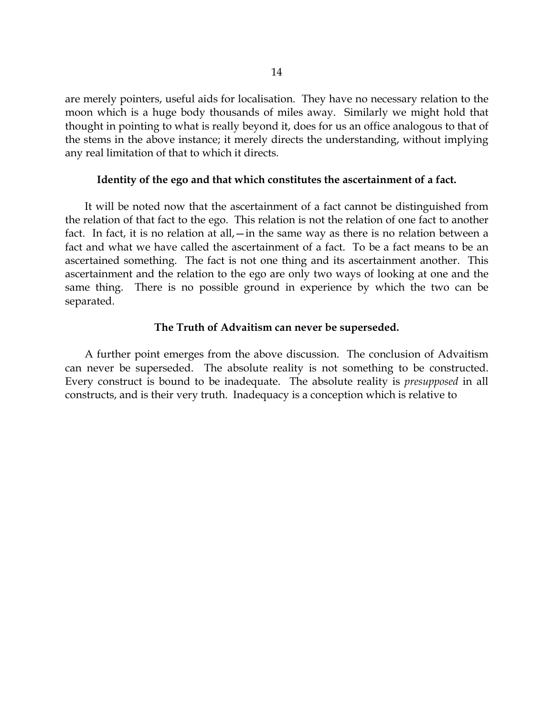are merely pointers, useful aids for localisation. They have no necessary relation to the moon which is a huge body thousands of miles away. Similarly we might hold that thought in pointing to what is really beyond it, does for us an office analogous to that of the stems in the above instance; it merely directs the understanding, without implying any real limitation of that to which it directs.

#### **Identity of the ego and that which constitutes the ascertainment of a fact.**

It will be noted now that the ascertainment of a fact cannot be distinguished from the relation of that fact to the ego. This relation is not the relation of one fact to another fact. In fact, it is no relation at all,—in the same way as there is no relation between a fact and what we have called the ascertainment of a fact. To be a fact means to be an ascertained something. The fact is not one thing and its ascertainment another. This ascertainment and the relation to the ego are only two ways of looking at one and the same thing. There is no possible ground in experience by which the two can be separated.

# **The Truth of Advaitism can never be superseded.**

A further point emerges from the above discussion. The conclusion of Advaitism can never be superseded. The absolute reality is not something to be constructed. Every construct is bound to be inadequate. The absolute reality is *presupposed* in all constructs, and is their very truth. Inadequacy is a conception which is relative to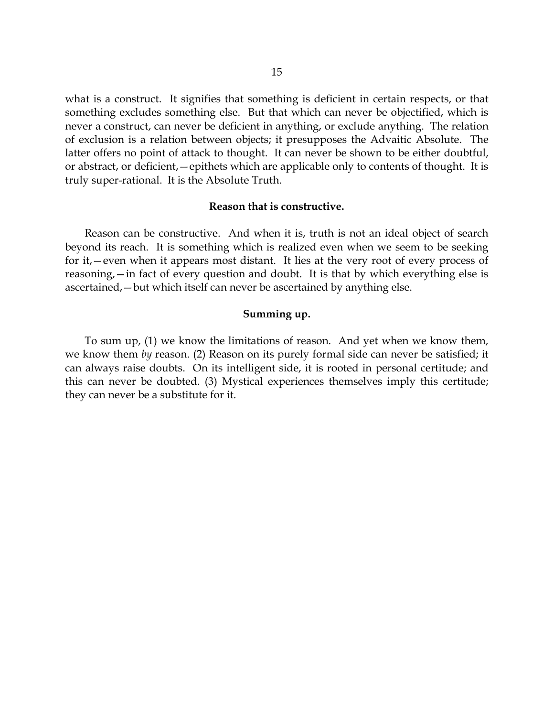what is a construct. It signifies that something is deficient in certain respects, or that something excludes something else. But that which can never be objectified, which is never a construct, can never be deficient in anything, or exclude anything. The relation of exclusion is a relation between objects; it presupposes the Advaitic Absolute. The latter offers no point of attack to thought. It can never be shown to be either doubtful, or abstract, or deficient,—epithets which are applicable only to contents of thought. It is truly super-rational. It is the Absolute Truth.

## **Reason that is constructive.**

Reason can be constructive. And when it is, truth is not an ideal object of search beyond its reach. It is something which is realized even when we seem to be seeking for it,—even when it appears most distant. It lies at the very root of every process of reasoning,—in fact of every question and doubt. It is that by which everything else is ascertained,—but which itself can never be ascertained by anything else.

## **Summing up.**

To sum up, (1) we know the limitations of reason. And yet when we know them, we know them *by* reason. (2) Reason on its purely formal side can never be satisfied; it can always raise doubts. On its intelligent side, it is rooted in personal certitude; and this can never be doubted. (3) Mystical experiences themselves imply this certitude; they can never be a substitute for it.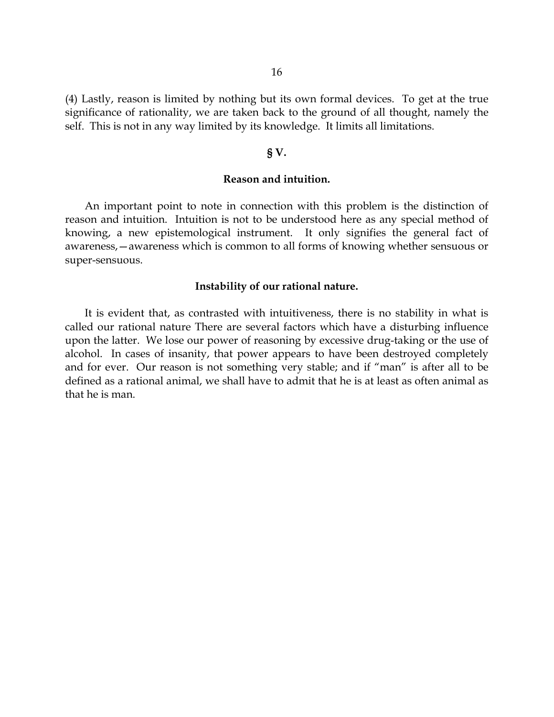(4) Lastly, reason is limited by nothing but its own formal devices. To get at the true significance of rationality, we are taken back to the ground of all thought, namely the self. This is not in any way limited by its knowledge. It limits all limitations.

#### **§ V.**

# **Reason and intuition.**

An important point to note in connection with this problem is the distinction of reason and intuition. Intuition is not to be understood here as any special method of knowing, a new epistemological instrument. It only signifies the general fact of awareness,—awareness which is common to all forms of knowing whether sensuous or super-sensuous.

#### **Instability of our rational nature.**

It is evident that, as contrasted with intuitiveness, there is no stability in what is called our rational nature There are several factors which have a disturbing influence upon the latter. We lose our power of reasoning by excessive drug-taking or the use of alcohol. In cases of insanity, that power appears to have been destroyed completely and for ever. Our reason is not something very stable; and if "man" is after all to be defined as a rational animal, we shall have to admit that he is at least as often animal as that he is man.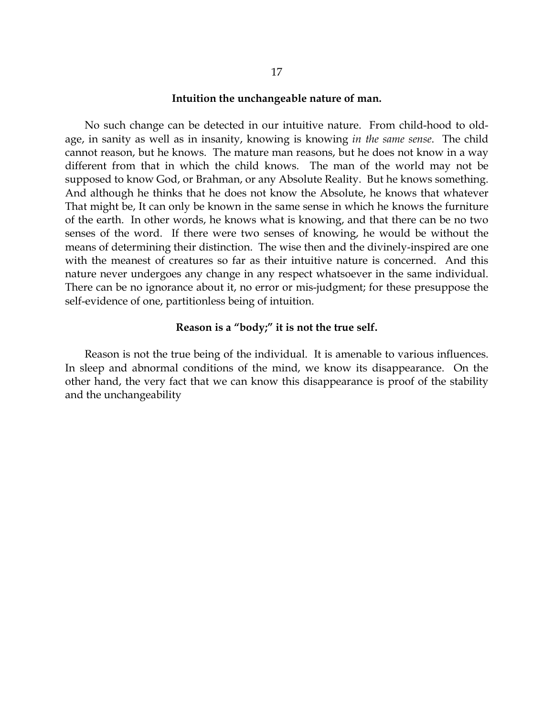#### **Intuition the unchangeable nature of man.**

No such change can be detected in our intuitive nature. From child-hood to oldage, in sanity as well as in insanity, knowing is knowing *in the same sense*. The child cannot reason, but he knows. The mature man reasons, but he does not know in a way different from that in which the child knows. The man of the world may not be supposed to know God, or Brahman, or any Absolute Reality. But he knows something. And although he thinks that he does not know the Absolute, he knows that whatever That might be, It can only be known in the same sense in which he knows the furniture of the earth. In other words, he knows what is knowing, and that there can be no two senses of the word. If there were two senses of knowing, he would be without the means of determining their distinction. The wise then and the divinely-inspired are one with the meanest of creatures so far as their intuitive nature is concerned. And this nature never undergoes any change in any respect whatsoever in the same individual. There can be no ignorance about it, no error or mis-judgment; for these presuppose the self-evidence of one, partitionless being of intuition.

# **Reason is a "body;" it is not the true self.**

Reason is not the true being of the individual. It is amenable to various influences. In sleep and abnormal conditions of the mind, we know its disappearance. On the other hand, the very fact that we can know this disappearance is proof of the stability and the unchangeability